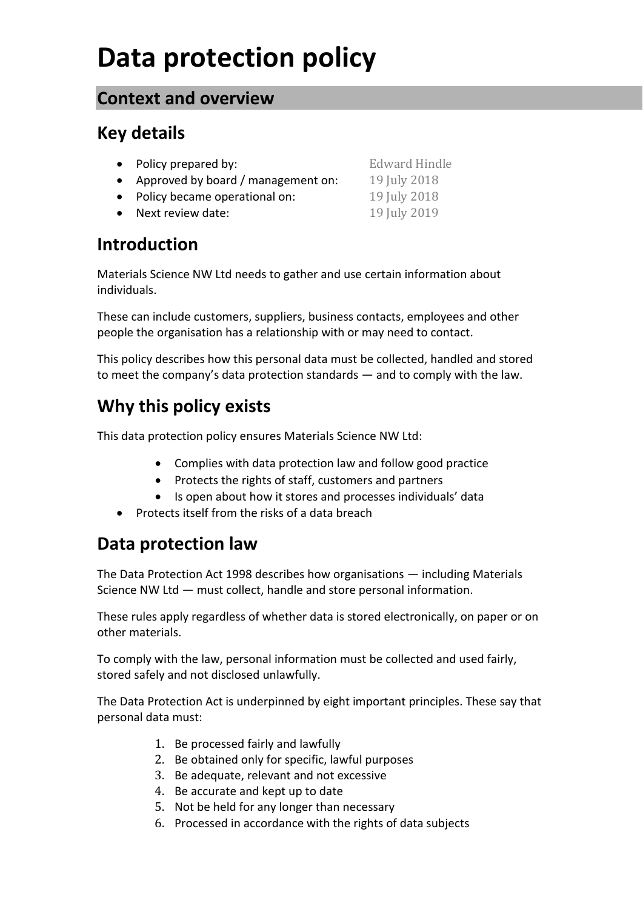# **Data protection policy**

#### **Context and overview**

# **Key details**

- Policy prepared by: Edward Hindle
- Approved by board / management on: 19 July 2018
- Policy became operational on: 19 July 2018
- Next review date: 19 July 2019

# **Introduction**

Materials Science NW Ltd needs to gather and use certain information about individuals.

These can include customers, suppliers, business contacts, employees and other people the organisation has a relationship with or may need to contact.

This policy describes how this personal data must be collected, handled and stored to meet the company's data protection standards — and to comply with the law.

# **Why this policy exists**

This data protection policy ensures Materials Science NW Ltd:

- Complies with data protection law and follow good practice
- Protects the rights of staff, customers and partners
- Is open about how it stores and processes individuals' data
- Protects itself from the risks of a data breach

## **Data protection law**

The Data Protection Act 1998 describes how organisations — including Materials Science NW Ltd — must collect, handle and store personal information.

These rules apply regardless of whether data is stored electronically, on paper or on other materials.

To comply with the law, personal information must be collected and used fairly, stored safely and not disclosed unlawfully.

The Data Protection Act is underpinned by eight important principles. These say that personal data must:

- 1. Be processed fairly and lawfully
- 2. Be obtained only for specific, lawful purposes
- 3. Be adequate, relevant and not excessive
- 4. Be accurate and kept up to date
- 5. Not be held for any longer than necessary
- 6. Processed in accordance with the rights of data subjects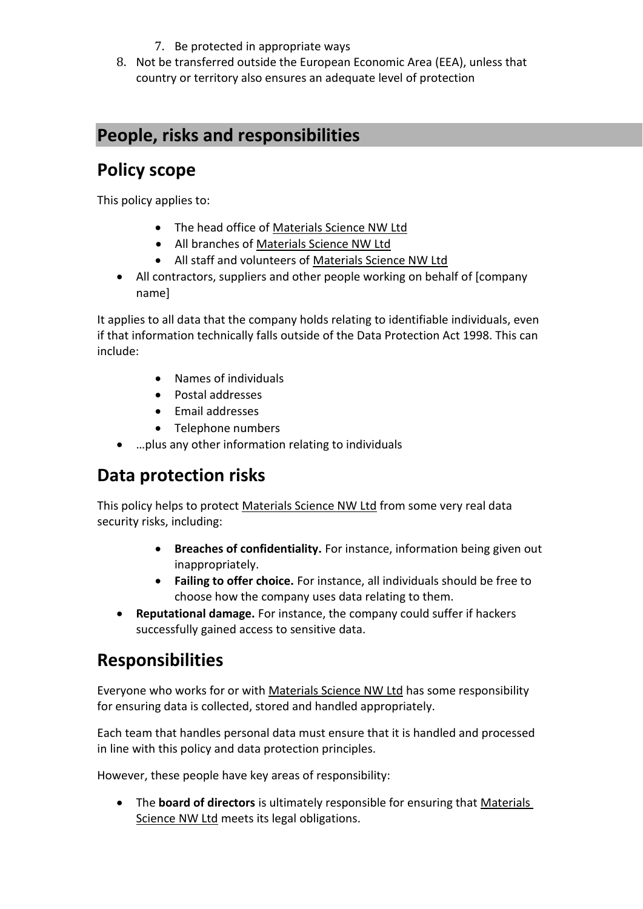- 7. Be protected in appropriate ways
- 8. Not be transferred outside the European Economic Area (EEA), unless that country or territory also ensures an adequate level of protection

## **People, risks and responsibilities**

# **Policy scope**

This policy applies to:

- The head office of Materials Science NW Ltd
- All branches of Materials Science NW Ltd
- All staff and volunteers of Materials Science NW Ltd
- All contractors, suppliers and other people working on behalf of [company name]

It applies to all data that the company holds relating to identifiable individuals, even if that information technically falls outside of the Data Protection Act 1998. This can include:

- Names of individuals
- Postal addresses
- Email addresses
- Telephone numbers
- …plus any other information relating to individuals

# **Data protection risks**

This policy helps to protect Materials Science NW Ltd from some very real data security risks, including:

- **Breaches of confidentiality.** For instance, information being given out inappropriately.
- **Failing to offer choice.** For instance, all individuals should be free to choose how the company uses data relating to them.
- **Reputational damage.** For instance, the company could suffer if hackers successfully gained access to sensitive data.

## **Responsibilities**

Everyone who works for or with Materials Science NW Ltd has some responsibility for ensuring data is collected, stored and handled appropriately.

Each team that handles personal data must ensure that it is handled and processed in line with this policy and data protection principles.

However, these people have key areas of responsibility:

• The **board of directors** is ultimately responsible for ensuring that **Materials** Science NW Ltd meets its legal obligations.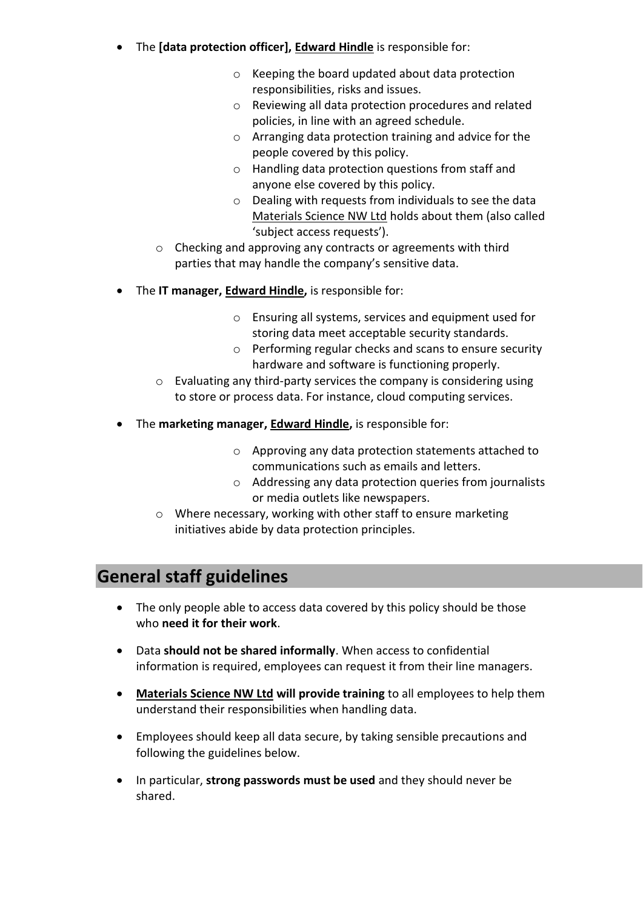- The **[data protection officer], Edward Hindle** is responsible for:
	- o Keeping the board updated about data protection responsibilities, risks and issues.
	- o Reviewing all data protection procedures and related policies, in line with an agreed schedule.
	- o Arranging data protection training and advice for the people covered by this policy.
	- o Handling data protection questions from staff and anyone else covered by this policy.
	- o Dealing with requests from individuals to see the data Materials Science NW Ltd holds about them (also called 'subject access requests').
	- o Checking and approving any contracts or agreements with third parties that may handle the company's sensitive data.
- The **IT manager, Edward Hindle,** is responsible for:
	- o Ensuring all systems, services and equipment used for storing data meet acceptable security standards.
	- o Performing regular checks and scans to ensure security hardware and software is functioning properly.
	- o Evaluating any third-party services the company is considering using to store or process data. For instance, cloud computing services.
- The **marketing manager, Edward Hindle,** is responsible for:
	- o Approving any data protection statements attached to communications such as emails and letters.
	- o Addressing any data protection queries from journalists or media outlets like newspapers.
	- o Where necessary, working with other staff to ensure marketing initiatives abide by data protection principles.

## **General staff guidelines**

- The only people able to access data covered by this policy should be those who **need it for their work**.
- Data **should not be shared informally**. When access to confidential information is required, employees can request it from their line managers.
- **Materials Science NW Ltd will provide training** to all employees to help them understand their responsibilities when handling data.
- Employees should keep all data secure, by taking sensible precautions and following the guidelines below.
- In particular, **strong passwords must be used** and they should never be shared.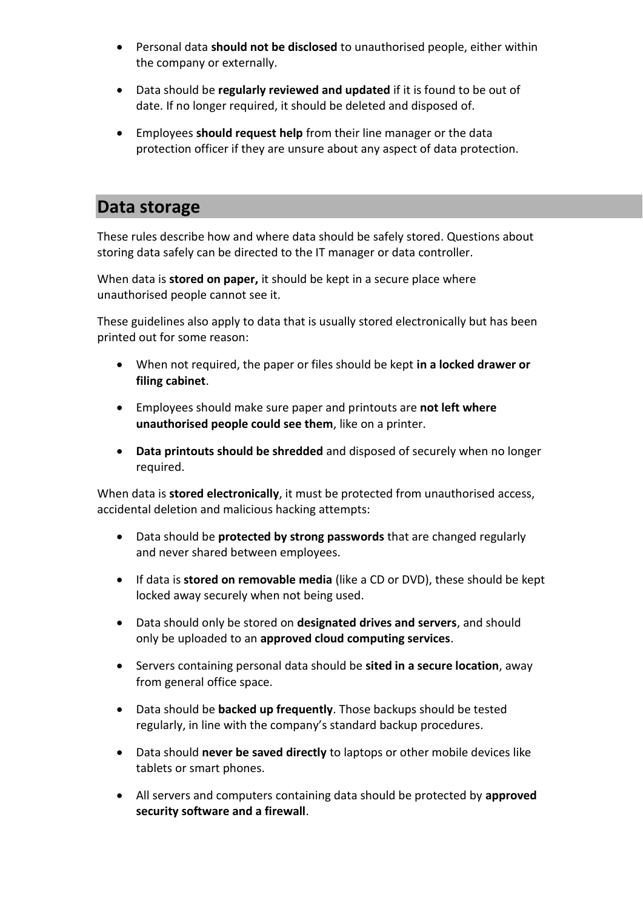- Personal data **should not be disclosed** to unauthorised people, either within the company or externally.
- Data should be **regularly reviewed and updated** if it is found to be out of date. If no longer required, it should be deleted and disposed of.
- Employees **should request help** from their line manager or the data protection officer if they are unsure about any aspect of data protection.

#### **Data storage**

These rules describe how and where data should be safely stored. Questions about storing data safely can be directed to the IT manager or data controller.

When data is **stored on paper,** it should be kept in a secure place where unauthorised people cannot see it.

These guidelines also apply to data that is usually stored electronically but has been printed out for some reason:

- When not required, the paper or files should be kept **in a locked drawer or filing cabinet**.
- Employees should make sure paper and printouts are **not left where unauthorised people could see them**, like on a printer.
- **Data printouts should be shredded** and disposed of securely when no longer required.

When data is **stored electronically**, it must be protected from unauthorised access, accidental deletion and malicious hacking attempts:

- Data should be **protected by strong passwords** that are changed regularly and never shared between employees.
- If data is **stored on removable media** (like a CD or DVD), these should be kept locked away securely when not being used.
- Data should only be stored on **designated drives and servers**, and should only be uploaded to an **approved cloud computing services**.
- Servers containing personal data should be **sited in a secure location**, away from general office space.
- Data should be **backed up frequently**. Those backups should be tested regularly, in line with the company's standard backup procedures.
- Data should **never be saved directly** to laptops or other mobile devices like tablets or smart phones.
- All servers and computers containing data should be protected by **approved security software and a firewall**.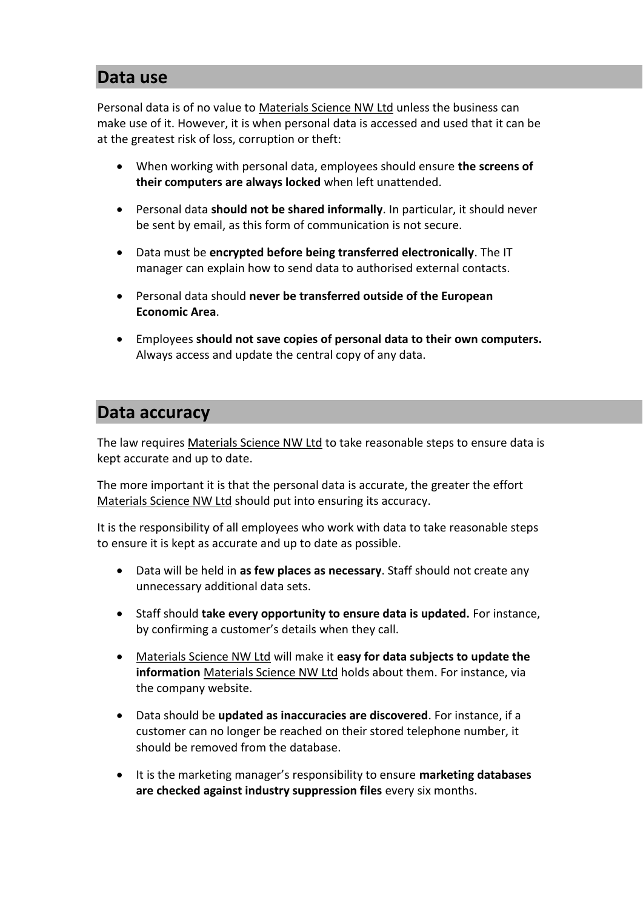#### **Data use**

Personal data is of no value to Materials Science NW Ltd unless the business can make use of it. However, it is when personal data is accessed and used that it can be at the greatest risk of loss, corruption or theft:

- When working with personal data, employees should ensure **the screens of their computers are always locked** when left unattended.
- Personal data **should not be shared informally**. In particular, it should never be sent by email, as this form of communication is not secure.
- Data must be **encrypted before being transferred electronically**. The IT manager can explain how to send data to authorised external contacts.
- Personal data should **never be transferred outside of the European Economic Area**.
- Employees **should not save copies of personal data to their own computers.**  Always access and update the central copy of any data.

### **Data accuracy**

The law requires Materials Science NW Ltd to take reasonable steps to ensure data is kept accurate and up to date.

The more important it is that the personal data is accurate, the greater the effort Materials Science NW Ltd should put into ensuring its accuracy.

It is the responsibility of all employees who work with data to take reasonable steps to ensure it is kept as accurate and up to date as possible.

- Data will be held in **as few places as necessary**. Staff should not create any unnecessary additional data sets.
- Staff should **take every opportunity to ensure data is updated.** For instance, by confirming a customer's details when they call.
- Materials Science NW Ltd will make it **easy for data subjects to update the information** Materials Science NW Ltd holds about them. For instance, via the company website.
- Data should be **updated as inaccuracies are discovered**. For instance, if a customer can no longer be reached on their stored telephone number, it should be removed from the database.
- It is the marketing manager's responsibility to ensure **marketing databases are checked against industry suppression files** every six months.